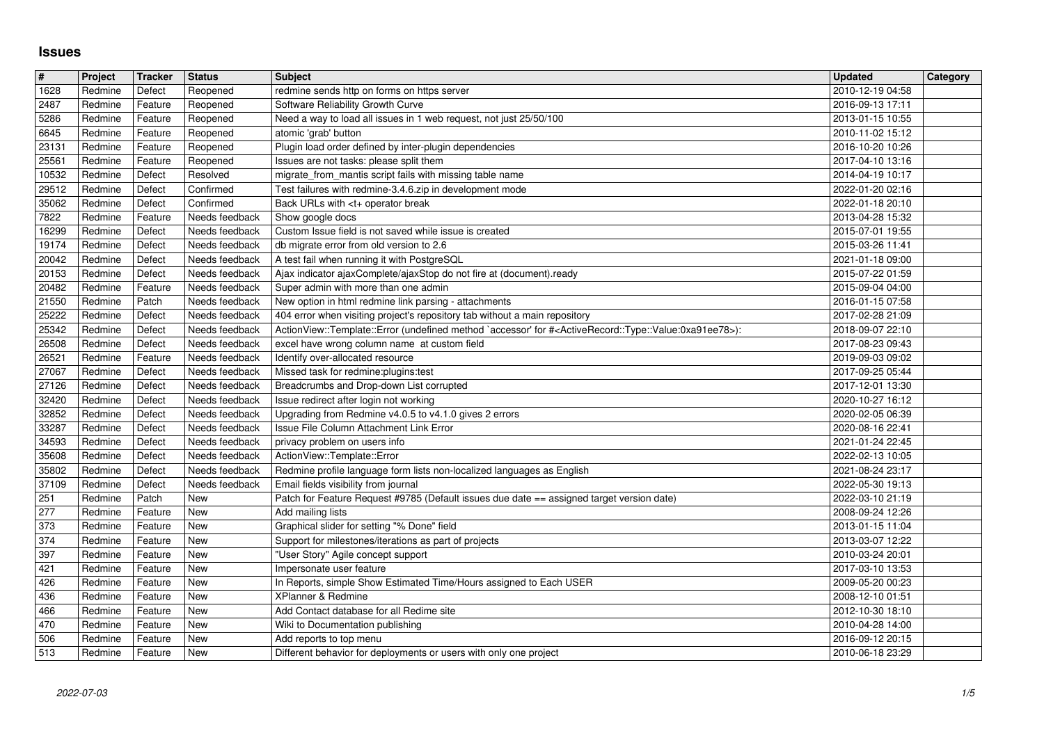## **Issues**

| $\vert$ #           | Project            | Tracker            | <b>Status</b>                    | <b>Subject</b>                                                                                                                                                                                                             | <b>Updated</b>                       | Category |
|---------------------|--------------------|--------------------|----------------------------------|----------------------------------------------------------------------------------------------------------------------------------------------------------------------------------------------------------------------------|--------------------------------------|----------|
| 1628<br>2487        | Redmine<br>Redmine | Defect<br>Feature  | Reopened<br>Reopened             | redmine sends http on forms on https server<br>Software Reliability Growth Curve                                                                                                                                           | 2010-12-19 04:58<br>2016-09-13 17:11 |          |
| 5286                | Redmine            | Feature            | Reopened                         | Need a way to load all issues in 1 web request, not just 25/50/100                                                                                                                                                         | 2013-01-15 10:55                     |          |
| 6645<br>23131       | Redmine<br>Redmine | Feature<br>Feature | Reopened<br>Reopened             | atomic 'grab' button<br>Plugin load order defined by inter-plugin dependencies                                                                                                                                             | 2010-11-02 15:12<br>2016-10-20 10:26 |          |
| 25561               | Redmine            | Feature            | Reopened                         | Issues are not tasks: please split them                                                                                                                                                                                    | 2017-04-10 13:16                     |          |
| 10532<br>29512      | Redmine<br>Redmine | Defect<br>Defect   | Resolved<br>Confirmed            | migrate_from_mantis script fails with missing table name<br>Test failures with redmine-3.4.6.zip in development mode                                                                                                       | 2014-04-19 10:17<br>2022-01-20 02:16 |          |
| 35062               | Redmine            | Defect             | Confirmed                        | Back URLs with <t+ break<="" operator="" td=""><td>2022-01-18 20:10</td><td></td></t+>                                                                                                                                     | 2022-01-18 20:10                     |          |
| 7822                | Redmine            | Feature            | Needs feedback                   | Show google docs                                                                                                                                                                                                           | 2013-04-28 15:32                     |          |
| 16299<br>19174      | Redmine<br>Redmine | Defect<br>Defect   | Needs feedback<br>Needs feedback | Custom Issue field is not saved while issue is created<br>db migrate error from old version to 2.6                                                                                                                         | 2015-07-01 19:55<br>2015-03-26 11:41 |          |
| 20042               | Redmine            | Defect             | Needs feedback                   | A test fail when running it with PostgreSQL                                                                                                                                                                                | 2021-01-18 09:00                     |          |
| 20153<br>20482      | Redmine<br>Redmine | Defect<br>Feature  | Needs feedback<br>Needs feedback | Ajax indicator ajaxComplete/ajaxStop do not fire at (document).ready<br>Super admin with more than one admin                                                                                                               | 2015-07-22 01:59<br>2015-09-04 04:00 |          |
| 21550               | Redmine            | Patch              | Needs feedback                   | New option in html redmine link parsing - attachments                                                                                                                                                                      | 2016-01-15 07:58                     |          |
| 25222<br>25342      | Redmine<br>Redmine | Defect<br>Defect   | Needs feedback<br>Needs feedback | 404 error when visiting project's repository tab without a main repository<br>ActionView::Template::Error (undefined method `accessor' for # <activerecord::type::value:0xa91ee78>):</activerecord::type::value:0xa91ee78> | 2017-02-28 21:09<br>2018-09-07 22:10 |          |
| 26508               | Redmine            | Defect             | Needs feedback                   | excel have wrong column name at custom field                                                                                                                                                                               | 2017-08-23 09:43                     |          |
| 26521<br>27067      | Redmine<br>Redmine | Feature<br>Defect  | Needs feedback<br>Needs feedback | Identify over-allocated resource<br>Missed task for redmine:plugins:test                                                                                                                                                   | 2019-09-03 09:02<br>2017-09-25 05:44 |          |
| 27126               | Redmine            | Defect             | Needs feedback                   | Breadcrumbs and Drop-down List corrupted                                                                                                                                                                                   | 2017-12-01 13:30                     |          |
| 32420<br>32852      | Redmine            | Defect             | Needs feedback<br>Needs feedback | Issue redirect after login not working<br>Upgrading from Redmine v4.0.5 to v4.1.0 gives 2 errors                                                                                                                           | 2020-10-27 16:12                     |          |
| 33287               | Redmine<br>Redmine | Defect<br>Defect   | Needs feedback                   | Issue File Column Attachment Link Error                                                                                                                                                                                    | 2020-02-05 06:39<br>2020-08-16 22:41 |          |
| 34593               | Redmine            | Defect             | Needs feedback                   | privacy problem on users info                                                                                                                                                                                              | 2021-01-24 22:45                     |          |
| 35608<br>35802      | Redmine<br>Redmine | Defect<br>Defect   | Needs feedback<br>Needs feedback | ActionView::Template::Error<br>Redmine profile language form lists non-localized languages as English                                                                                                                      | 2022-02-13 10:05<br>2021-08-24 23:17 |          |
| 37109               | Redmine            | Defect             | Needs feedback                   | Email fields visibility from journal                                                                                                                                                                                       | 2022-05-30 19:13                     |          |
| 251<br>$\sqrt{277}$ | Redmine<br>Redmine | Patch<br>Feature   | <b>New</b><br>New                | Patch for Feature Request #9785 (Default issues due date == assigned target version date)<br>Add mailing lists                                                                                                             | 2022-03-10 21:19<br>2008-09-24 12:26 |          |
| 373                 | Redmine            | Feature            | <b>New</b>                       | Graphical slider for setting "% Done" field                                                                                                                                                                                | 2013-01-15 11:04                     |          |
| 374<br>397          | Redmine<br>Redmine | Feature<br>Feature | New<br>New                       | Support for milestones/iterations as part of projects<br>"User Story" Agile concept support                                                                                                                                | 2013-03-07 12:22<br>2010-03-24 20:01 |          |
| 421                 | Redmine            | Feature            | <b>New</b>                       | Impersonate user feature                                                                                                                                                                                                   | 2017-03-10 13:53                     |          |
| 426                 | Redmine            | Feature            | <b>New</b>                       | In Reports, simple Show Estimated Time/Hours assigned to Each USER                                                                                                                                                         | 2009-05-20 00:23                     |          |
| 436<br>466          | Redmine<br>Redmine | Feature<br>Feature | <b>New</b><br>New                | XPlanner & Redmine<br>Add Contact database for all Redime site                                                                                                                                                             | 2008-12-10 01:51<br>2012-10-30 18:10 |          |
| $\frac{470}{506}$   | Redmine            | Feature            | New                              | Wiki to Documentation publishing                                                                                                                                                                                           | 2010-04-28 14:00                     |          |
| 513                 | Redmine<br>Redmine | Feature<br>Feature | <b>New</b><br>New                | Add reports to top menu<br>Different behavior for deployments or users with only one project                                                                                                                               | 2016-09-12 20:15<br>2010-06-18 23:29 |          |
|                     |                    |                    |                                  |                                                                                                                                                                                                                            |                                      |          |
|                     |                    |                    |                                  |                                                                                                                                                                                                                            |                                      |          |
|                     |                    |                    |                                  |                                                                                                                                                                                                                            |                                      |          |
|                     |                    |                    |                                  |                                                                                                                                                                                                                            |                                      |          |
|                     |                    |                    |                                  |                                                                                                                                                                                                                            |                                      |          |
|                     |                    |                    |                                  |                                                                                                                                                                                                                            |                                      |          |
|                     |                    |                    |                                  |                                                                                                                                                                                                                            |                                      |          |
|                     |                    |                    |                                  |                                                                                                                                                                                                                            |                                      |          |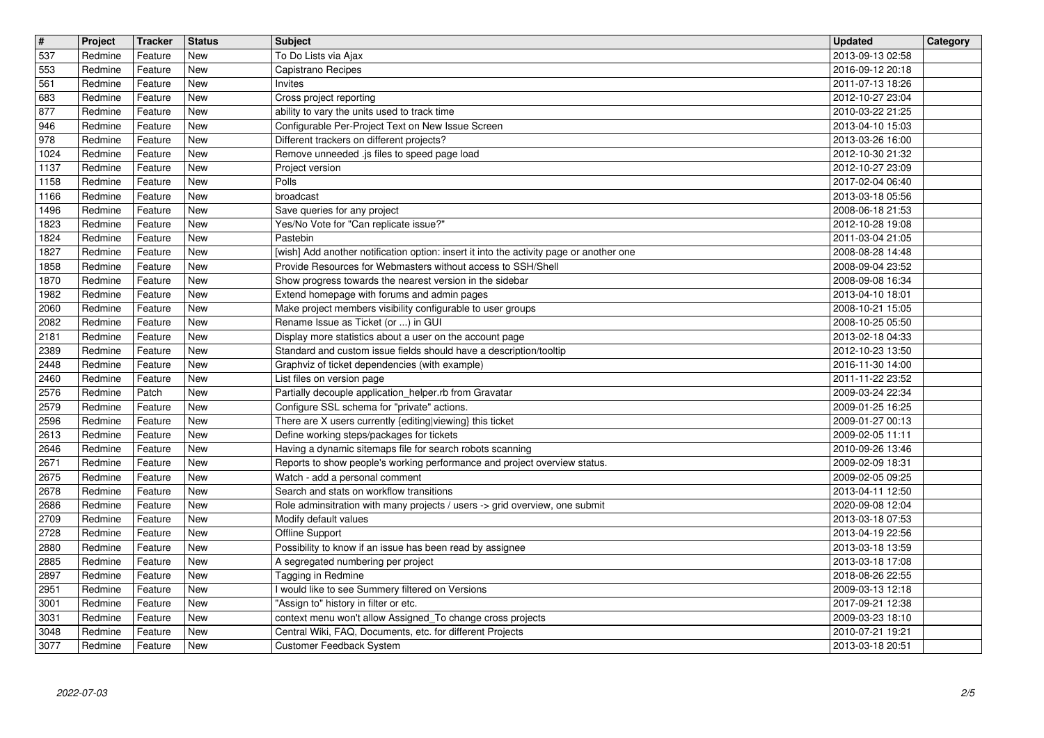| $\overline{\mathbf{t}}$<br>537 | Project<br>Redmine | Tracker<br>Feature | <b>Status</b><br><b>New</b> | <b>Subject</b><br>To Do Lists via Ajax                                                                               | <b>Updated</b><br>2013-09-13 02:58   | Category |
|--------------------------------|--------------------|--------------------|-----------------------------|----------------------------------------------------------------------------------------------------------------------|--------------------------------------|----------|
| 553                            | Redmine            | Feature            | New                         | Capistrano Recipes                                                                                                   | 2016-09-12 20:18                     |          |
| 561<br>683                     | Redmine<br>Redmine | Feature<br>Feature | New<br>New                  | Invites<br>Cross project reporting                                                                                   | 2011-07-13 18:26<br>2012-10-27 23:04 |          |
| 877                            | Redmine            | Feature            | New                         | ability to vary the units used to track time                                                                         | 2010-03-22 21:25                     |          |
| 946<br>978                     | Redmine<br>Redmine | Feature<br>Feature | New<br>New                  | Configurable Per-Project Text on New Issue Screen<br>Different trackers on different projects?                       | 2013-04-10 15:03<br>2013-03-26 16:00 |          |
| 1024                           | Redmine            | Feature            | <b>New</b>                  | Remove unneeded .js files to speed page load                                                                         | 2012-10-30 21:32                     |          |
| 1137<br>1158                   | Redmine<br>Redmine | Feature<br>Feature | <b>New</b><br>New           | Project version<br>Polls                                                                                             | 2012-10-27 23:09<br>2017-02-04 06:40 |          |
| 1166                           | Redmine<br>Redmine | Feature<br>Feature | New<br><b>New</b>           | broadcast<br>Save queries for any project                                                                            | 2013-03-18 05:56<br>2008-06-18 21:53 |          |
| 1496<br>1823                   | Redmine            | Feature            | New                         | Yes/No Vote for "Can replicate issue?"                                                                               | 2012-10-28 19:08                     |          |
| 1824<br>1827                   | Redmine<br>Redmine | Feature<br>Feature | New<br>New                  | Pastebin<br>[wish] Add another notification option: insert it into the activity page or another one                  | 2011-03-04 21:05<br>2008-08-28 14:48 |          |
| 1858                           | Redmine            | Feature            | New                         | Provide Resources for Webmasters without access to SSH/Shell                                                         | 2008-09-04 23:52                     |          |
| 1870<br>1982                   | Redmine<br>Redmine | Feature<br>Feature | New<br><b>New</b>           | Show progress towards the nearest version in the sidebar<br>Extend homepage with forums and admin pages              | 2008-09-08 16:34<br>2013-04-10 18:01 |          |
| 2060<br>2082                   | Redmine<br>Redmine | Feature<br>Feature | <b>New</b><br>New           | Make project members visibility configurable to user groups<br>Rename Issue as Ticket (or ) in GUI                   | 2008-10-21 15:05<br>2008-10-25 05:50 |          |
| 2181                           | Redmine            | Feature            | New                         | Display more statistics about a user on the account page                                                             | 2013-02-18 04:33                     |          |
| 2389<br>2448                   | Redmine<br>Redmine | Feature<br>Feature | New<br>New                  | Standard and custom issue fields should have a description/tooltip<br>Graphviz of ticket dependencies (with example) | 2012-10-23 13:50<br>2016-11-30 14:00 |          |
| 2460                           | Redmine            | Feature            | New<br>New                  | List files on version page                                                                                           | 2011-11-22 23:52<br>2009-03-24 22:34 |          |
| 2576<br>2579                   | Redmine<br>Redmine | Patch<br>Feature   | New                         | Partially decouple application_helper.rb from Gravatar<br>Configure SSL schema for "private" actions.                | 2009-01-25 16:25                     |          |
| 2596<br>2613                   | Redmine<br>Redmine | Feature<br>Feature | <b>New</b><br>New           | There are X users currently {editing viewing} this ticket<br>Define working steps/packages for tickets               | 2009-01-27 00:13<br>2009-02-05 11:11 |          |
| 2646                           | Redmine            | Feature            | New                         | Having a dynamic sitemaps file for search robots scanning                                                            | 2010-09-26 13:46                     |          |
| 2671<br>2675                   | Redmine<br>Redmine | Feature<br>Feature | New<br>New                  | Reports to show people's working performance and project overview status.<br>Watch - add a personal comment          | 2009-02-09 18:31<br>2009-02-05 09:25 |          |
| 2678                           | Redmine            | Feature            | New                         | Search and stats on workflow transitions                                                                             | 2013-04-11 12:50                     |          |
| 2686<br>2709                   | Redmine<br>Redmine | Feature<br>Feature | New<br>New                  | Role adminsitration with many projects / users -> grid overview, one submit<br>Modify default values                 | 2020-09-08 12:04<br>2013-03-18 07:53 |          |
| 2728<br>2880                   | Redmine<br>Redmine | Feature<br>Feature | <b>New</b><br><b>New</b>    | Offline Support<br>Possibility to know if an issue has been read by assignee                                         | 2013-04-19 22:56<br>2013-03-18 13:59 |          |
| 2885                           | Redmine            | Feature            | <b>New</b>                  | A segregated numbering per project                                                                                   | 2013-03-18 17:08                     |          |
| 2897<br>2951                   | Redmine<br>Redmine | Feature<br>Feature | New<br>New                  | Tagging in Redmine<br>I would like to see Summery filtered on Versions                                               | 2018-08-26 22:55<br>2009-03-13 12:18 |          |
| 3001<br>3031                   | Redmine<br>Redmine | Feature<br>Feature | <b>New</b><br>New           | "Assign to" history in filter or etc.<br>context menu won't allow Assigned_To change cross projects                  | 2017-09-21 12:38<br>2009-03-23 18:10 |          |
| 3048                           | Redmine            | Feature            | New                         | Central Wiki, FAQ, Documents, etc. for different Projects                                                            | 2010-07-21 19:21                     |          |
| 3077                           | Redmine            | Feature            | New                         | Customer Feedback System                                                                                             | 2013-03-18 20:51                     |          |
|                                |                    |                    |                             |                                                                                                                      |                                      |          |
|                                |                    |                    |                             |                                                                                                                      |                                      |          |
|                                |                    |                    |                             |                                                                                                                      |                                      |          |
|                                |                    |                    |                             |                                                                                                                      |                                      |          |
|                                |                    |                    |                             |                                                                                                                      |                                      |          |
|                                |                    |                    |                             |                                                                                                                      |                                      |          |
|                                |                    |                    |                             |                                                                                                                      |                                      |          |
|                                |                    |                    |                             |                                                                                                                      |                                      |          |
|                                |                    |                    |                             |                                                                                                                      |                                      |          |
|                                |                    |                    |                             |                                                                                                                      |                                      |          |
|                                |                    |                    |                             |                                                                                                                      |                                      |          |
|                                |                    |                    |                             |                                                                                                                      |                                      |          |
|                                |                    |                    |                             |                                                                                                                      |                                      |          |
|                                |                    |                    |                             |                                                                                                                      |                                      |          |
|                                |                    |                    |                             |                                                                                                                      |                                      |          |
|                                |                    |                    |                             |                                                                                                                      |                                      |          |
|                                |                    |                    |                             |                                                                                                                      |                                      |          |
|                                |                    |                    |                             |                                                                                                                      |                                      |          |
|                                |                    |                    |                             |                                                                                                                      |                                      |          |
|                                |                    |                    |                             |                                                                                                                      |                                      |          |
|                                |                    |                    |                             |                                                                                                                      |                                      |          |
|                                |                    |                    |                             |                                                                                                                      |                                      |          |
|                                |                    |                    |                             |                                                                                                                      |                                      |          |
|                                |                    |                    |                             |                                                                                                                      |                                      |          |
|                                |                    |                    |                             |                                                                                                                      |                                      |          |
|                                |                    |                    |                             |                                                                                                                      |                                      |          |
|                                |                    |                    |                             |                                                                                                                      |                                      |          |
|                                |                    |                    |                             |                                                                                                                      |                                      |          |
|                                |                    |                    |                             |                                                                                                                      |                                      |          |
|                                |                    |                    |                             |                                                                                                                      |                                      |          |
|                                |                    |                    |                             |                                                                                                                      |                                      |          |
|                                |                    |                    |                             |                                                                                                                      |                                      |          |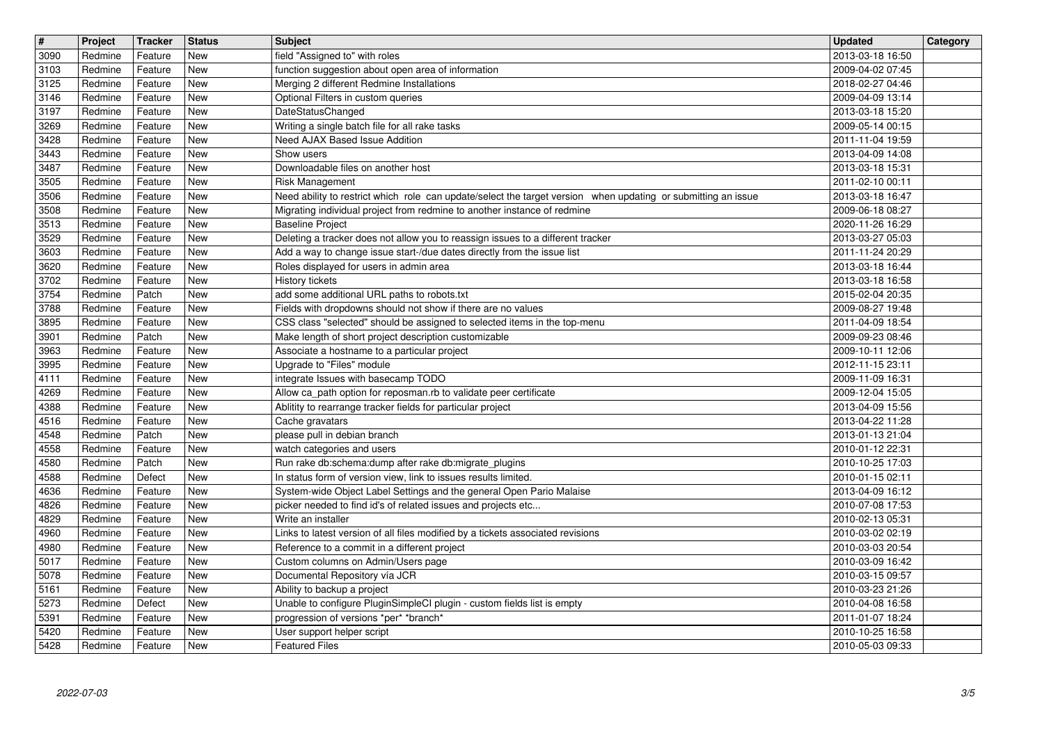| $\overline{\mathbf{H}}$<br>3090 | Project<br>Redmine | Tracker<br>Feature | <b>Status</b><br>New      | <b>Subject</b><br>field "Assigned to" with roles                                                                         | <b>Updated</b><br>2013-03-18 16:50   | Category |
|---------------------------------|--------------------|--------------------|---------------------------|--------------------------------------------------------------------------------------------------------------------------|--------------------------------------|----------|
| 3103                            | Redmine            | Feature            | <b>New</b>                | function suggestion about open area of information                                                                       | 2009-04-02 07:45                     |          |
| 3125<br>3146                    | Redmine<br>Redmine | Feature<br>Feature | <b>New</b><br><b>New</b>  | Merging 2 different Redmine Installations<br>Optional Filters in custom queries                                          | 2018-02-27 04:46<br>2009-04-09 13:14 |          |
| 3197                            | Redmine            | Feature            | <b>New</b>                | DateStatusChanged                                                                                                        | 2013-03-18 15:20                     |          |
| 3269<br>3428                    | Redmine<br>Redmine | Feature<br>Feature | <b>New</b><br><b>New</b>  | Writing a single batch file for all rake tasks<br>Need AJAX Based Issue Addition                                         | 2009-05-14 00:15<br>2011-11-04 19:59 |          |
| 3443                            | Redmine            | Feature            | <b>New</b>                | Show users                                                                                                               | 2013-04-09 14:08                     |          |
| 3487<br>3505                    | Redmine<br>Redmine | Feature<br>Feature | <b>New</b><br><b>New</b>  | Downloadable files on another host<br>Risk Management                                                                    | 2013-03-18 15:31                     |          |
| 3506                            | Redmine            | Feature            | <b>New</b>                | Need ability to restrict which role can update/select the target version when updating or submitting an issue            | 2011-02-10 00:11<br>2013-03-18 16:47 |          |
| 3508<br>3513                    | Redmine<br>Redmine | Feature<br>Feature | <b>New</b><br><b>New</b>  | Migrating individual project from redmine to another instance of redmine                                                 | 2009-06-18 08:27<br>2020-11-26 16:29 |          |
| 3529                            | Redmine            | Feature            | <b>New</b>                | <b>Baseline Project</b><br>Deleting a tracker does not allow you to reassign issues to a different tracker               | 2013-03-27 05:03                     |          |
| 3603<br>3620                    | Redmine<br>Redmine | Feature<br>Feature | <b>New</b><br><b>New</b>  | Add a way to change issue start-/due dates directly from the issue list<br>Roles displayed for users in admin area       | 2011-11-24 20:29<br>2013-03-18 16:44 |          |
| 3702                            | Redmine            | Feature            | New                       | History tickets                                                                                                          | 2013-03-18 16:58                     |          |
| 3754<br>3788                    | Redmine<br>Redmine | Patch<br>Feature   | <b>New</b><br><b>New</b>  | add some additional URL paths to robots.txt<br>Fields with dropdowns should not show if there are no values              | 2015-02-04 20:35<br>2009-08-27 19:48 |          |
| 3895                            | Redmine            | Feature            | <b>New</b>                | CSS class "selected" should be assigned to selected items in the top-menu                                                | 2011-04-09 18:54                     |          |
| $\frac{1}{3901}$<br>3963        | Redmine<br>Redmine | Patch<br>Feature   | <b>New</b><br><b>New</b>  | Make length of short project description customizable<br>Associate a hostname to a particular project                    | 2009-09-23 08:46<br>2009-10-11 12:06 |          |
| 3995                            | Redmine            | Feature            | $\overline{\mathsf{New}}$ | Upgrade to "Files" module                                                                                                | 2012-11-15 23:11                     |          |
| 4111<br>4269                    | Redmine<br>Redmine | Feature<br>Feature | <b>New</b><br><b>New</b>  | integrate Issues with basecamp TODO<br>Allow ca_path option for reposman.rb to validate peer certificate                 | 2009-11-09 16:31<br>2009-12-04 15:05 |          |
| 4388                            | Redmine            | Feature            | <b>New</b>                | Ablitity to rearrange tracker fields for particular project                                                              | 2013-04-09 15:56                     |          |
| 4516<br>4548                    | Redmine<br>Redmine | Feature<br>Patch   | <b>New</b><br><b>New</b>  | Cache gravatars<br>please pull in debian branch                                                                          | 2013-04-22 11:28<br>2013-01-13 21:04 |          |
| 4558                            | Redmine            | Feature            | <b>New</b>                | watch categories and users                                                                                               | 2010-01-12 22:31                     |          |
| 4580<br>4588                    | Redmine<br>Redmine | Patch<br>Defect    | <b>New</b><br><b>New</b>  | Run rake db:schema:dump after rake db:migrate_plugins<br>In status form of version view, link to issues results limited. | 2010-10-25 17:03<br>2010-01-15 02:11 |          |
| 4636                            | Redmine            | Feature            | <b>New</b>                | System-wide Object Label Settings and the general Open Pario Malaise                                                     | 2013-04-09 16:12                     |          |
| 4826                            | Redmine            | Feature            | <b>New</b>                | picker needed to find id's of related issues and projects etc                                                            | 2010-07-08 17:53                     |          |
| 4829<br>4960                    | Redmine<br>Redmine | Feature<br>Feature | <b>New</b><br><b>New</b>  | Write an installer<br>Links to latest version of all files modified by a tickets associated revisions                    | 2010-02-13 05:31<br>2010-03-02 02:19 |          |
| 4980                            | Redmine            | Feature            | New                       | Reference to a commit in a different project                                                                             | 2010-03-03 20:54                     |          |
| 5017<br>5078                    | Redmine<br>Redmine | Feature<br>Feature | New<br>New                | Custom columns on Admin/Users page<br>Documental Repository vía JCR                                                      | 2010-03-09 16:42<br>2010-03-15 09:57 |          |
| $\boxed{5161}$                  | Redmine            | Feature            | $\sqrt{\phantom{a}}$ New  | Ability to backup a project                                                                                              | 2010-03-23 21:26                     |          |
| 5273<br>5391                    | Redmine<br>Redmine | Defect<br>Feature  | New<br>New                | Unable to configure PluginSimpleCI plugin - custom fields list is empty<br>progression of versions *per* *branch*        | 2010-04-08 16:58<br>2011-01-07 18:24 |          |
| 5420<br>5428                    | Redmine<br>Redmine | Feature<br>Feature | New<br>New                | User support helper script<br><b>Featured Files</b>                                                                      | 2010-10-25 16:58<br>2010-05-03 09:33 |          |
|                                 | 2022-07-03         |                    |                           |                                                                                                                          |                                      | 3/5      |
|                                 |                    |                    |                           |                                                                                                                          |                                      |          |
|                                 |                    |                    |                           |                                                                                                                          |                                      |          |
|                                 |                    |                    |                           |                                                                                                                          |                                      |          |
|                                 |                    |                    |                           |                                                                                                                          |                                      |          |
|                                 |                    |                    |                           |                                                                                                                          |                                      |          |
|                                 |                    |                    |                           |                                                                                                                          |                                      |          |
|                                 |                    |                    |                           |                                                                                                                          |                                      |          |
|                                 |                    |                    |                           |                                                                                                                          |                                      |          |
|                                 |                    |                    |                           |                                                                                                                          |                                      |          |
|                                 |                    |                    |                           |                                                                                                                          |                                      |          |
|                                 |                    |                    |                           |                                                                                                                          |                                      |          |
|                                 |                    |                    |                           |                                                                                                                          |                                      |          |
|                                 |                    |                    |                           |                                                                                                                          |                                      |          |
|                                 |                    |                    |                           |                                                                                                                          |                                      |          |
|                                 |                    |                    |                           |                                                                                                                          |                                      |          |
|                                 |                    |                    |                           |                                                                                                                          |                                      |          |
|                                 |                    |                    |                           |                                                                                                                          |                                      |          |
|                                 |                    |                    |                           |                                                                                                                          |                                      |          |
|                                 |                    |                    |                           |                                                                                                                          |                                      |          |
|                                 |                    |                    |                           |                                                                                                                          |                                      |          |
|                                 |                    |                    |                           |                                                                                                                          |                                      |          |
|                                 |                    |                    |                           |                                                                                                                          |                                      |          |
|                                 |                    |                    |                           |                                                                                                                          |                                      |          |
|                                 |                    |                    |                           |                                                                                                                          |                                      |          |
|                                 |                    |                    |                           |                                                                                                                          |                                      |          |
|                                 |                    |                    |                           |                                                                                                                          |                                      |          |
|                                 |                    |                    |                           |                                                                                                                          |                                      |          |
|                                 |                    |                    |                           |                                                                                                                          |                                      |          |
|                                 |                    |                    |                           |                                                                                                                          |                                      |          |
|                                 |                    |                    |                           |                                                                                                                          |                                      |          |
|                                 |                    |                    |                           |                                                                                                                          |                                      |          |
|                                 |                    |                    |                           |                                                                                                                          |                                      |          |
|                                 |                    |                    |                           |                                                                                                                          |                                      |          |
|                                 |                    |                    |                           |                                                                                                                          |                                      |          |
|                                 |                    |                    |                           |                                                                                                                          |                                      |          |
|                                 |                    |                    |                           |                                                                                                                          |                                      |          |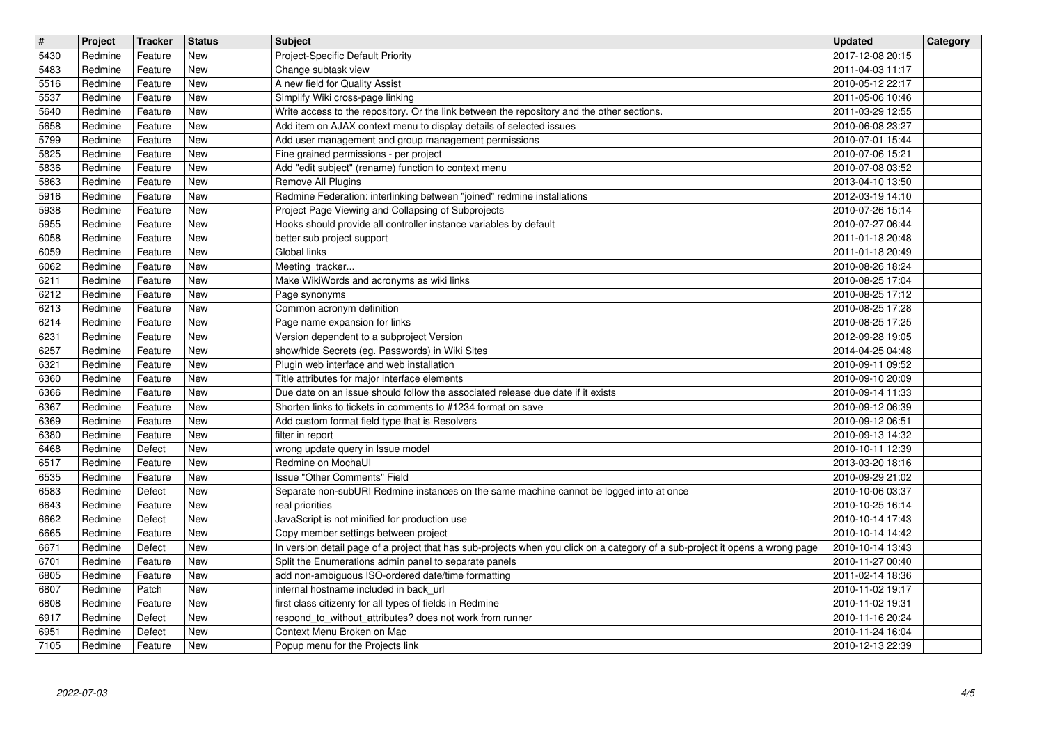| $\overline{\mathbf{H}}$ | Project            | Tracker            | <b>Status</b><br>New     | <b>Subject</b>                                                                                                                                                                         | <b>Updated</b><br>2017-12-08 20:15   | Category |
|-------------------------|--------------------|--------------------|--------------------------|----------------------------------------------------------------------------------------------------------------------------------------------------------------------------------------|--------------------------------------|----------|
| 5430<br>5483            | Redmine<br>Redmine | Feature<br>Feature | <b>New</b>               | Project-Specific Default Priority<br>Change subtask view                                                                                                                               | 2011-04-03 11:17                     |          |
| 5516<br>5537            | Redmine<br>Redmine | Feature<br>Feature | <b>New</b><br><b>New</b> | A new field for Quality Assist<br>Simplify Wiki cross-page linking                                                                                                                     | 2010-05-12 22:17<br>2011-05-06 10:46 |          |
| 5640                    | Redmine            | Feature            | <b>New</b>               | Write access to the repository. Or the link between the repository and the other sections.                                                                                             | 2011-03-29 12:55                     |          |
| 5658<br>5799            | Redmine<br>Redmine | Feature<br>Feature | <b>New</b><br><b>New</b> | Add item on AJAX context menu to display details of selected issues<br>Add user management and group management permissions                                                            | 2010-06-08 23:27<br>2010-07-01 15:44 |          |
| 5825                    | Redmine            | Feature            | <b>New</b>               | Fine grained permissions - per project                                                                                                                                                 | 2010-07-06 15:21                     |          |
| 5836<br>5863            | Redmine<br>Redmine | Feature<br>Feature | New<br>New               | Add "edit subject" (rename) function to context menu<br>Remove All Plugins                                                                                                             | 2010-07-08 03:52<br>2013-04-10 13:50 |          |
| 5916                    | Redmine            | Feature            | <b>New</b>               | Redmine Federation: interlinking between "joined" redmine installations                                                                                                                | 2012-03-19 14:10                     |          |
| 5938<br>5955            | Redmine<br>Redmine | Feature<br>Feature | <b>New</b><br><b>New</b> | Project Page Viewing and Collapsing of Subprojects<br>Hooks should provide all controller instance variables by default                                                                | 2010-07-26 15:14<br>2010-07-27 06:44 |          |
| 6058                    | Redmine            | Feature            | New                      | better sub project support                                                                                                                                                             | 2011-01-18 20:48                     |          |
| 6059<br>6062            | Redmine<br>Redmine | Feature<br>Feature | <b>New</b><br><b>New</b> | Global links<br>Meeting tracker                                                                                                                                                        | 2011-01-18 20:49<br>2010-08-26 18:24 |          |
| 6211                    | Redmine            | Feature            | New                      | Make WikiWords and acronyms as wiki links                                                                                                                                              | 2010-08-25 17:04                     |          |
| 6212<br>6213            | Redmine<br>Redmine | Feature<br>Feature | New<br><b>New</b>        | Page synonyms<br>Common acronym definition                                                                                                                                             | 2010-08-25 17:12<br>2010-08-25 17:28 |          |
| 6214                    | Redmine            | Feature            | <b>New</b>               | Page name expansion for links                                                                                                                                                          | 2010-08-25 17:25                     |          |
| 6231<br>6257            | Redmine<br>Redmine | Feature<br>Feature | <b>New</b><br><b>New</b> | Version dependent to a subproject Version<br>show/hide Secrets (eg. Passwords) in Wiki Sites                                                                                           | 2012-09-28 19:05<br>2014-04-25 04:48 |          |
| 6321                    | Redmine            | Feature            | <b>New</b>               | Plugin web interface and web installation                                                                                                                                              | 2010-09-11 09:52                     |          |
| 6360<br>6366            | Redmine<br>Redmine | Feature<br>Feature | <b>New</b><br><b>New</b> | Title attributes for major interface elements<br>Due date on an issue should follow the associated release due date if it exists                                                       | 2010-09-10 20:09<br>2010-09-14 11:33 |          |
| 6367                    | Redmine            | Feature            | <b>New</b>               | Shorten links to tickets in comments to #1234 format on save                                                                                                                           | 2010-09-12 06:39                     |          |
| 6369<br>6380            | Redmine<br>Redmine | Feature<br>Feature | New<br><b>New</b>        | Add custom format field type that is Resolvers<br>filter in report                                                                                                                     | 2010-09-12 06:51<br>2010-09-13 14:32 |          |
| 6468                    | Redmine            | Defect             | <b>New</b>               | wrong update query in Issue model                                                                                                                                                      | 2010-10-11 12:39                     |          |
| 6517<br>6535            | Redmine<br>Redmine | Feature<br>Feature | <b>New</b><br><b>New</b> | Redmine on MochaUI<br>Issue "Other Comments" Field                                                                                                                                     | 2013-03-20 18:16<br>2010-09-29 21:02 |          |
| 6583                    | Redmine            | Defect             | <b>New</b>               | Separate non-subURI Redmine instances on the same machine cannot be logged into at once                                                                                                | 2010-10-06 03:37                     |          |
| 6643<br>6662            | Redmine<br>Redmine | Feature<br>Defect  | <b>New</b><br><b>New</b> | real priorities<br>JavaScript is not minified for production use                                                                                                                       | 2010-10-25 16:14<br>2010-10-14 17:43 |          |
| 6665                    | Redmine            | Feature            | <b>New</b>               | Copy member settings between project                                                                                                                                                   | 2010-10-14 14:42                     |          |
| 6671<br>6701            | Redmine<br>Redmine | Defect<br>Feature  | New<br>New               | In version detail page of a project that has sub-projects when you click on a category of a sub-project it opens a wrong page<br>Split the Enumerations admin panel to separate panels | 2010-10-14 13:43<br>2010-11-27 00:40 |          |
| 6805                    | Redmine            | Feature            | New                      | add non-ambiguous ISO-ordered date/time formatting                                                                                                                                     | 2011-02-14 18:36                     |          |
| 6807<br>6808            | Redmine            | Patch              | New                      | internal hostname included in back_url                                                                                                                                                 | 2010-11-02 19:17                     |          |
| 6917                    | Redmine<br>Redmine | Feature<br>Defect  | New<br>New               | first class citizenry for all types of fields in Redmine<br>respond_to_without_attributes? does not work from runner                                                                   | 2010-11-02 19:31<br>2010-11-16 20:24 |          |
| 6951<br>7105            | Redmine<br>Redmine | Defect<br>Feature  | New<br>New               | Context Menu Broken on Mac<br>Popup menu for the Projects link                                                                                                                         | 2010-11-24 16:04<br>2010-12-13 22:39 |          |
|                         |                    |                    |                          |                                                                                                                                                                                        |                                      |          |
|                         |                    |                    |                          |                                                                                                                                                                                        |                                      |          |
|                         |                    |                    |                          |                                                                                                                                                                                        |                                      |          |
|                         |                    |                    |                          |                                                                                                                                                                                        |                                      |          |
|                         |                    |                    |                          |                                                                                                                                                                                        |                                      |          |
|                         |                    |                    |                          |                                                                                                                                                                                        |                                      |          |
|                         |                    |                    |                          |                                                                                                                                                                                        |                                      |          |
|                         |                    |                    |                          |                                                                                                                                                                                        |                                      |          |
|                         |                    |                    |                          |                                                                                                                                                                                        |                                      |          |
|                         |                    |                    |                          |                                                                                                                                                                                        |                                      |          |
|                         |                    |                    |                          |                                                                                                                                                                                        |                                      |          |
|                         |                    |                    |                          |                                                                                                                                                                                        |                                      |          |
|                         |                    |                    |                          |                                                                                                                                                                                        |                                      |          |
|                         |                    |                    |                          |                                                                                                                                                                                        |                                      |          |
|                         |                    |                    |                          |                                                                                                                                                                                        |                                      |          |